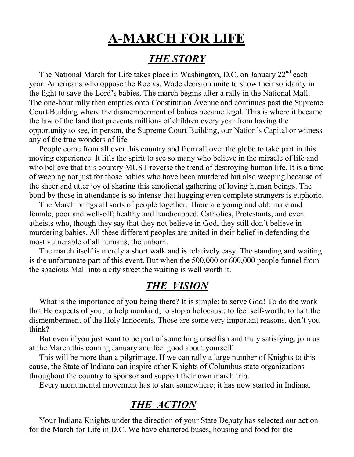## **A-MARCH FOR LIFE**

## *THE STORY*

The National March for Life takes place in Washington, D.C. on January 22<sup>nd</sup> each year. Americans who oppose the Roe vs. Wade decision unite to show their solidarity in the fight to save the Lord's babies. The march begins after a rally in the National Mall. The one-hour rally then empties onto Constitution Avenue and continues past the Supreme Court Building where the dismemberment of babies became legal. This is where it became the law of the land that prevents millions of children every year from having the opportunity to see, in person, the Supreme Court Building, our Nation's Capital or witness any of the true wonders of life.

 People come from all over this country and from all over the globe to take part in this moving experience. It lifts the spirit to see so many who believe in the miracle of life and who believe that this country MUST reverse the trend of destroying human life. It is a time of weeping not just for those babies who have been murdered but also weeping because of the sheer and utter joy of sharing this emotional gathering of loving human beings. The bond by those in attendance is so intense that hugging even complete strangers is euphoric.

 The March brings all sorts of people together. There are young and old; male and female; poor and well-off; healthy and handicapped. Catholics, Protestants, and even atheists who, though they say that they not believe in God, they still don't believe in murdering babies. All these different peoples are united in their belief in defending the most vulnerable of all humans, the unborn.

 The march itself is merely a short walk and is relatively easy. The standing and waiting is the unfortunate part of this event. But when the 500,000 or 600,000 people funnel from the spacious Mall into a city street the waiting is well worth it.

## *THE VISION*

What is the importance of you being there? It is simple; to serve God! To do the work that He expects of you; to help mankind; to stop a holocaust; to feel self-worth; to halt the dismemberment of the Holy Innocents. Those are some very important reasons, don't you think?

 But even if you just want to be part of something unselfish and truly satisfying, join us at the March this coming January and feel good about yourself.

 This will be more than a pilgrimage. If we can rally a large number of Knights to this cause, the State of Indiana can inspire other Knights of Columbus state organizations throughout the country to sponsor and support their own march trip.

Every monumental movement has to start somewhere; it has now started in Indiana.

## *THE ACTION*

 Your Indiana Knights under the direction of your State Deputy has selected our action for the March for Life in D.C. We have chartered buses, housing and food for the